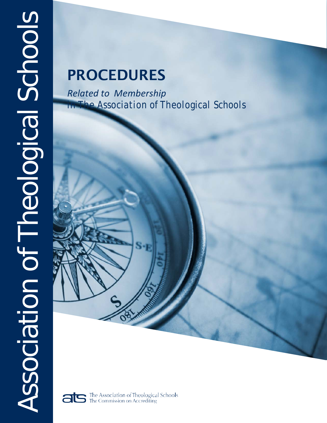# PROCEDURES

*Related to Membership in The Association of Theological Schools*



The Association of Theological Schools<br>The Commission on Accrediting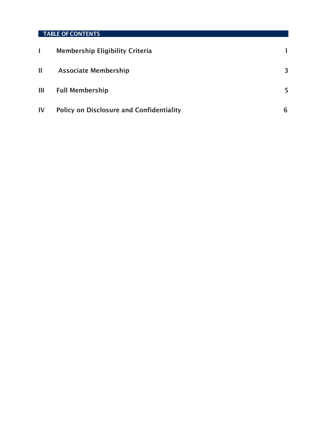# TABLE OF CONTENTS

|    | <b>Membership Eligibility Criteria</b>          |    |
|----|-------------------------------------------------|----|
| Ш  | <b>Associate Membership</b>                     | 3  |
| Ш  | <b>Full Membership</b>                          | 5. |
| IV | <b>Policy on Disclosure and Confidentiality</b> | h  |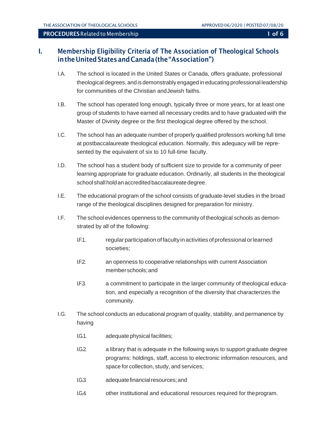# I. Membership Eligibility Criteria of The Association of Theological Schools intheUnitedStatesandCanada(the"Association")

- I.A. The school is located in the United States or Canada, offers graduate, professional theological degrees, and is demonstrably engaged in educating professional leadership for communities of the Christian andJewish faiths.
- I.B. The school has operated long enough, typically three or more years, for at least one group of students to have earned all necessary credits and to have graduated with the Master of Divinity degree or the first theological degree offered by the school.
- I.C. The school has an adequate number of properly qualified professors working full time at postbaccalaureate theological education. Normally, this adequacy will be represented by the equivalent of six to 10 full-time faculty.
- I.D. The school has a student body of sufficient size to provide for a community of peer learning appropriate for graduate education. Ordinarily, all students in the theological school shall hold an accredited baccalaureate degree.
- I.E. The educational program of the school consists of graduate-level studies in the broad range of the theological disciplines designed for preparation for ministry.
- I.F. The school evidences openness to the community of theological schools as demonstrated by all of the following:
	- I.F.1. regularparticipationoffacultyinactivities ofprofessional orlearned societies;
	- I.F.2. an openness to cooperative relationships with current Association memberschools;and
	- I.F.3. a commitment to participate in the larger community of theological education, and especially a recognition of the diversity that characterizes the community.
- I.G. The school conducts an educational program of quality, stability, and permanence by having
	- I.G.1. adequate physical facilities;
	- I.G.2. a library that is adequate in the following ways to support graduate degree programs: holdings, staff, access to electronic information resources, and space for collection, study, and services;
	- I.G.3. adequate financial resources; and
	- I.G.4. other institutional and educational resources required for theprogram.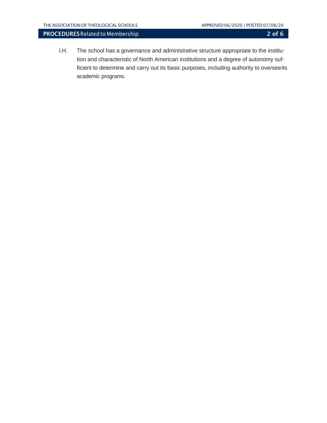I.H. The school has a governance and administrative structure appropriate to the institution and characteristic of North American institutions and a degree of autonomy sufficient to determine and carry out its basic purposes, including authority to overseeits academic programs.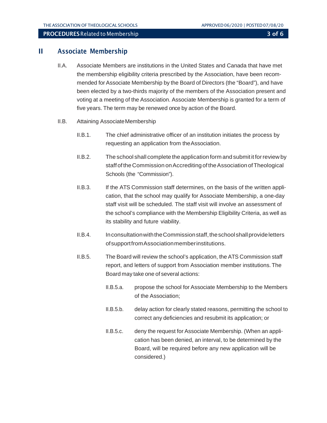## II Associate Membership

- II.A. Associate Members are institutions in the United States and Canada that have met the membership eligibility criteria prescribed by the Association, have been recommended for Associate Membership by the Board of Directors (the "Board"), and have been elected by a two-thirds majority of the members of the Association present and voting at a meeting of the Association. Associate Membership is granted for a term of five years. The term may be renewed once by action of the Board.
- II.B. Attaining AssociateMembership
	- II.B.1. The chief administrative officer of an institution initiates the process by requesting an application from theAssociation.
	- II.B.2. The school shall complete the application form and submitit forreview by staff of the Commission on Accrediting of the Association of Theological Schools (the "Commission").
	- II.B.3. If the ATS Commission staff determines, on the basis of the written application, that the school may qualify for Associate Membership, a one-day staff visit will be scheduled. The staff visit will involve an assessment of the school's compliance with the Membership Eligibility Criteria, as well as its stability and future viability.
	- II.B.4. In consultation with the Commission staff, the school shall provide letters ofsupportfromAssociationmemberinstitutions.
	- II.B.5. The Board will review the school's application, the ATS Commission staff report, and letters of support from Association member institutions. The Board may take one of several actions:
		- II.B.5.a. propose the school for Associate Membership to the Members of the Association;
		- II.B.5.b. delay action for clearly stated reasons, permitting the school to correct any deficiencies and resubmit its application; or
		- II.B.5.c. deny the request for Associate Membership. (When an application has been denied, an interval, to be determined by the Board, will be required before any new application will be considered.)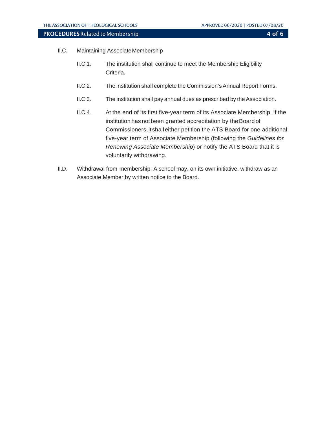- II.C. Maintaining AssociateMembership
	- II.C.1. The institution shall continue to meet the Membership Eligibility Criteria.
	- II.C.2. The institution shall complete the Commission's Annual Report Forms.
	- II.C.3. The institution shall pay annual dues as prescribed by the Association.
	- II.C.4. At the end of its first five-year term of its Associate Membership, if the institution has not been granted accreditation by the Board of Commissioners, it shall either petition the ATS Board for one additional five-year term of Associate Membership (following the *Guidelines for Renewing Associate Membership*) or notify the ATS Board that it is voluntarily withdrawing.
- II.D. Withdrawal from membership: A school may, on its own initiative, withdraw as an Associate Member by written notice to the Board.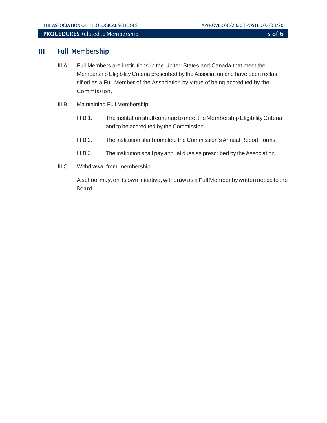### III Full Membership

- III.A. Full Members are institutions in the United States and Canada that meet the Membership Eligibility Criteria prescribed by the Association and have been reclassified as a Full Member of the Association by virtue of being accredited by the Commission.
- III.B. Maintaining Full Membership
	- III.B.1. Theinstitution shall continue to meet the MembershipEligibilityCriteria and to be accredited by the Commission.
	- III.B.2. The institution shall complete the Commission's Annual Report Forms.
	- III.B.3. The institution shall pay annual dues as prescribed by the Association.
- III.C. Withdrawal from membership

Aschool may, on its own initiative, withdraw as a Full Member bywritten notice to the Board.